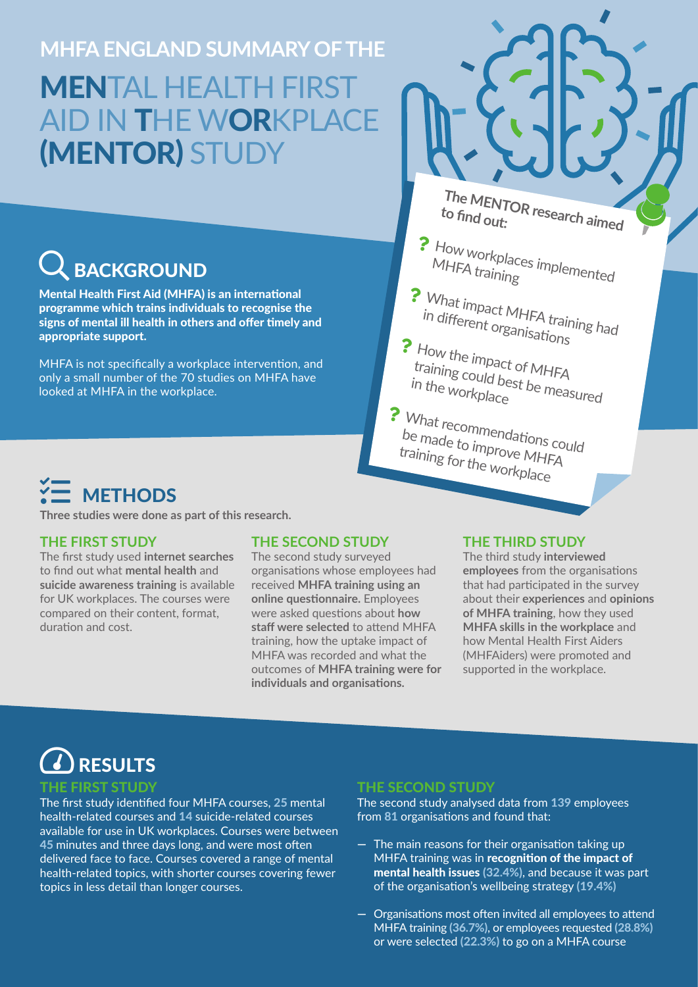**MHFA ENGLAND SUMMARY OF THE** MENTAL HEALTH FIRST AID IN THE WORKPLACE (MENTOR) STUDY

**BACKGROUND** 

Mental Health First Aid (MHFA) is an international programme which trains individuals to recognise the signs of mental ill health in others and offer timely and appropriate support.

MHFA is not specifically a workplace intervention, and only a small number of the 70 studies on MHFA have looked at MHFA in the workplace.

**The MENTOR research aimed to find out:**

- How workplaces implemented<br>MHFA training ?
- ? What impact MHFA training had in different organisations
- **?** How the impact of MHFA training could best be measured<br>in the workplace

? What recommendations could<br>be made to improve Microud be made to improve MHFA training for the workplace

### **METHODS**

**Three studies were done as part of this research.** 

#### **THE FIRST STUDY**

The first study used **internet searches** to find out what **mental health** and **suicide awareness training** is available for UK workplaces. The courses were compared on their content, format, duration and cost.

#### **THE SECOND STUDY**

The second study surveyed organisations whose employees had received **MHFA training using an online questionnaire.** Employees were asked questions about **how staff were selected** to attend MHFA training, how the uptake impact of MHFA was recorded and what the outcomes of **MHFA training were for individuals and organisations.**

#### **THE THIRD STUDY**

The third study **interviewed employees** from the organisations that had participated in the survey about their **experiences** and **opinions of MHFA training**, how they used **MHFA skills in the workplace** and how Mental Health First Aiders (MHFAiders) were promoted and supported in the workplace.

## RESULTS

#### THE FIRST STUDY

The first study identified four MHFA courses, 25 mental health-related courses and 14 suicide-related courses available for use in UK workplaces. Courses were between 45 minutes and three days long, and were most often delivered face to face. Courses covered a range of mental health-related topics, with shorter courses covering fewer topics in less detail than longer courses.

#### THE SECOND STUDY

The second study analysed data from 139 employees from 81 organisations and found that:

- **—** The main reasons for their organisation taking up MHFA training was in recognition of the impact of mental health issues (32.4%), and because it was part of the organisation's wellbeing strategy (19.4%)
- **—** Organisations most often invited all employees to attend MHFA training (36.7%), or employees requested (28.8%) or were selected (22.3%) to go on a MHFA course